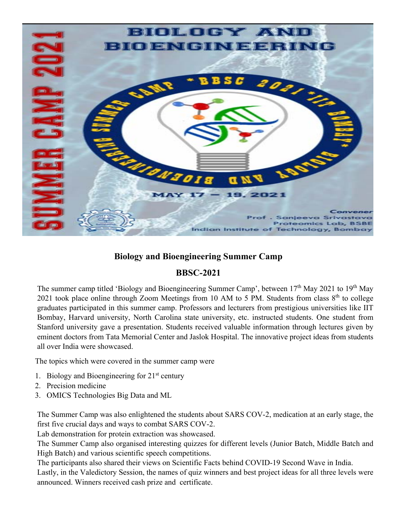

## **Biology and Bioengineering Summer Camp**

## **BBSC-2021**

The summer camp titled 'Biology and Bioengineering Summer Camp', between 17<sup>th</sup> May 2021 to 19<sup>th</sup> May 2021 took place online through Zoom Meetings from 10 AM to 5 PM. Students from class  $8<sup>th</sup>$  to college graduates participated in this summer camp. Professors and lecturers from prestigious universities like IIT Bombay, Harvard university, North Carolina state university, etc. instructed students. One student from Stanford university gave a presentation. Students received valuable information through lectures given by eminent doctors from Tata Memorial Center and Jaslok Hospital. The innovative project ideas from students all over India were showcased.

The topics which were covered in the summer camp were

- 1. Biology and Bioengineering for  $21<sup>st</sup>$  century
- 2. Precision medicine
- 3. OMICS Technologies Big Data and ML

The Summer Camp was also enlightened the students about SARS COV-2, medication at an early stage, the first five crucial days and ways to combat SARS COV-2.

Lab demonstration for protein extraction was showcased.

The Summer Camp also organised interesting quizzes for different levels (Junior Batch, Middle Batch and High Batch) and various scientific speech competitions.

The participants also shared their views on Scientific Facts behind COVID-19 Second Wave in India. Lastly, in the Valedictory Session, the names of quiz winners and best project ideas for all three levels were announced. Winners received cash prize and certificate.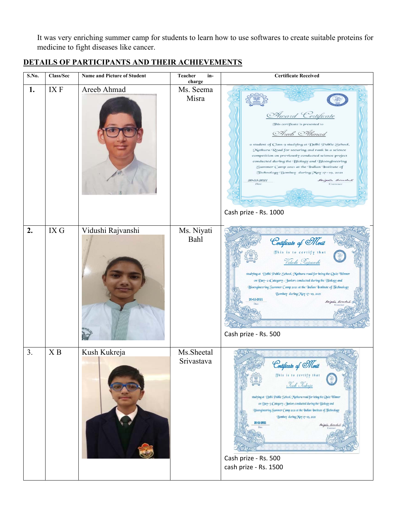It was very enriching summer camp for students to learn how to use softwares to create suitable proteins for medicine to fight diseases like cancer.

## **DETAILS OF PARTICIPANTS AND THEIR ACHIEVEMENTS**

| S.No. | Class/Sec | Name and Picture of Student | Teacher<br>in-<br>charge  | <b>Certificate Received</b>                                                                                                                                                                                                                                                                                                                                                                                                                                         |
|-------|-----------|-----------------------------|---------------------------|---------------------------------------------------------------------------------------------------------------------------------------------------------------------------------------------------------------------------------------------------------------------------------------------------------------------------------------------------------------------------------------------------------------------------------------------------------------------|
| 1.    | IX F      | Areeb Ahmad                 | Ms. Seema<br>Misra        | Award Certificate<br>This certificate is presented to<br>Areeb Ahmad<br>a student of Class 9 studying at Delhi Public School,<br>Mathura Road for securing 2nd rank in a science<br>competition on previously conducted science project<br>conducted during the Biology and Bioengineering<br>Summer Camp 2021 at the Indian Institute of<br>Technology Bombay during May 17-19, 2021<br>20-05-2021<br>Sangear Simolas<br>Date<br>Convener<br>Cash prize - Rs. 1000 |
| 2.    | IX G      | Vidushi Rajvanshi           | Ms. Niyati<br><b>Bahl</b> | Certificate of Merit<br>This is to certify that<br>Vidushi Rajoanshi<br>studying at Delhi Public School, Mathura road for being the Quiz Winner<br>on Day-2 (Category: Junior) conducted during the Biology and<br>Bioengineering Summer Camp 2021 at the Indian Institute of Technology<br>Bombay during May 17-19, 2021<br>20-05-2021<br>Sanjeña Sirval<br>Cash prize - Rs. 500                                                                                   |
| 3.    | X B       | Kush Kukreja                | Ms.Sheetal<br>Srivastava  | Cortificato of Morit<br>This is to certify that<br><u>Kush Kukreja</u><br>studying at Delhi Public School, Mathura road for being the Quiz Winner<br>on Day-3 (Category: Junior) conducted during the Biology and<br>Bioengineering Summer Camp 2021 at the Indian Institute of Technology<br>Bombay during May 17-19, 2021<br>20-05-2021<br>Sanjena Simola<br>Cash prize - Rs. 500<br>cash prize - Rs. 1500                                                        |